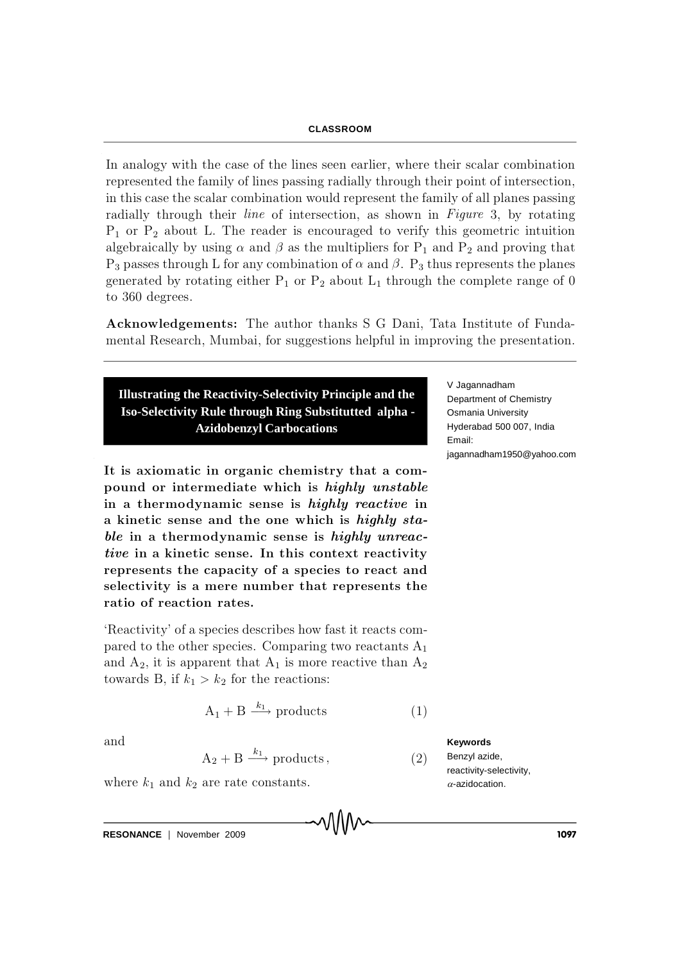## **CLASSROOM**

In analogy with the case of the lines seen earlier, where their scalar combination represented the family of lines passing radially through their point of intersection, in this case the scalar combination would represent the family of all planes passing radially through their *line* of intersection, as shown in Figure 3, by rotating  $P_1$  or  $P_2$  about L. The reader is encouraged to verify this geometric intuition algebraically by using  $\alpha$  and  $\beta$  as the multipliers for P<sub>1</sub> and P<sub>2</sub> and proving that  $P_3$  passes through L for any combination of  $\alpha$  and  $\beta$ .  $P_3$  thus represents the planes generated by rotating either  $P_1$  or  $P_2$  about  $L_1$  through the complete range of 0 to 360 degrees.

A cknowled gements: The author thanks S G Dani, Tata Institute of Fundamental Research, Mumbai, for suggestions helpful in improving the presentation.

**Illustrating the Reactivity-Selectivity Principle and the Iso-Selectivity Rule through Ring Substitutted alpha - Azidobenzyl Carbocations**

It is axiomatic in organic chemistry that a compound or intermediate which is highly unstable in a thermodynamic sense is highly reactive in a kinetic sense and the one which is highly sta $ble$  in a thermodynamic sense is highly unreactive in a kinetic sense. In this context reactivity represents the capacity of a species to react and selectivity is a mere number that represents the ratio of reaction rates.

'Reactivity' of a species describes how fast it reacts compared to the other species. Comparing two reactants  $A_1$ and  $A_2$ , it is apparent that  $A_1$  is more reactive than  $A_2$ towards B, if  $k_1 > k_2$  for the reactions:

$$
A_1 + B \xrightarrow{k_1} products
$$
 (1)

VWV

and

 $A_2 + B \xrightarrow{k_1}$  products, (2)

where  $k_1$  and  $k_2$  are rate constants.

**RESONANCE** | November 2009 **1097 1097** 

V Jagannadham Department of Chemistry Osmania University Hyderabad 500 007, India Email: jagannadham1950@yahoo.com

**Keywords** Benzyl azide, reactivity-selectivity,  $\alpha$ -azidocation.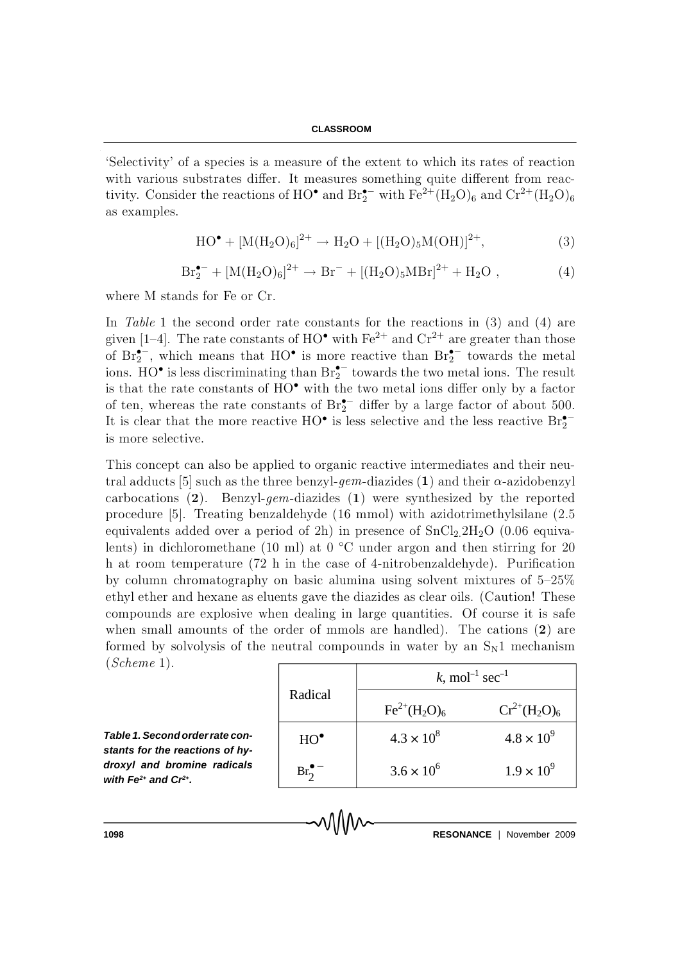'Selectivity' of a species is a measure of the extent to which its rates of reaction with various substrates differ. It measures something quite different from reactivity. Consider the reactions of HO<sup>•</sup> and  $Br_2^{\bullet-}$  with  $Fe^{2+}(H_2O)_6$  and  $Cr^{2+}(H_2O)_6$ as examples.

$$
HO^{\bullet} + [M(H_2O)_6]^{2+} \to H_2O + [(H_2O)_5M(OH)]^{2+},
$$
\n(3)

$$
Br_2^{\bullet-} + [M(H_2O)_6]^{2+} \to Br^- + [(H_2O)_5 MBr]^{2+} + H_2O , \qquad (4)
$$

where M stands for Fe or Cr.

In Table 1 the second order rate constants for the reactions in  $(3)$  and  $(4)$  are given [1-4]. The rate constants of HO<sup>•</sup> with Fe<sup>2+</sup> and Cr<sup>2+</sup> are greater than those of  $\text{Br}_2^{\bullet-}$ , which means that  $\text{HO}^{\bullet}$  is more reactive than  $\text{Br}_2^{\bullet-}$  towards the metal ions.  $HO^{\bullet}$  is less discriminating than  $Br_2^{\bullet-}$  towards the two metal ions. The result is that the rate constants of  $HO^{\bullet}$  with the two metal ions differ only by a factor of ten, whereas the rate constants of  $\text{Br}_2^{\bullet-}$  differ by a large factor of about 500. It is clear that the more reactive  $HO^{\bullet}$  is less selective and the less reactive  $Br_2^{\bullet -}$ is m ore selective.

This concept can also be applied to organic reactive intermediates and their neutral adducts [5] such as the three benzyl-gem-diazides (1) and their  $\alpha$ -azidobenzyl carbocations  $(2)$ . Benzyl-gem-diazides  $(1)$  were synthesized by the reported procedure [5]. Treating benzaldehyde  $(16 \text{ mmol})$  with azidotrimethylsilane  $(2.5$ equivalents added over a period of 2h) in presence of  $SnCl<sub>2</sub>2H<sub>2</sub>O$  (0.06 equivalents) in dichloromethane (10 ml) at 0  $^{\circ}$ C under argon and then stirring for 20 h at room temperature  $(72 h)$  in the case of 4-nitrobenzaldehyde). Purification by column chromatography on basic alumina using solvent mixtures of  $5-25\%$ ethyl ether and hexane as eluents gave the diazides as clear oils. (Caution! These compounds are explosive when dealing in large quantities. Of course it is safe when small amounts of the order of mmols are handled). The cations  $(2)$  are formed by solvolysis of the neutral compounds in water by an  $S_N1$  mechanism  $(Scheme 1).$ 

*Table 1. Second order rate constants for the reactions of hydroxyl and bromine radicals with Fe2+ and Cr2+ .*

| Radical          | k, mol <sup>-1</sup> sec <sup>-1</sup> |                     |  |  |
|------------------|----------------------------------------|---------------------|--|--|
|                  | $Fe^{2+}(H_2O)_6$                      | $Cr^{2+}(H_2O)_6$   |  |  |
| $HO^{\bullet}$   | $4.3 \times 10^{8}$                    | $4.8 \times 10^{9}$ |  |  |
| $Br_2^{\bullet}$ | $3.6 \times 10^{6}$                    | $1.9 \times 10^{9}$ |  |  |

**1098 RESONANCE** | November 2009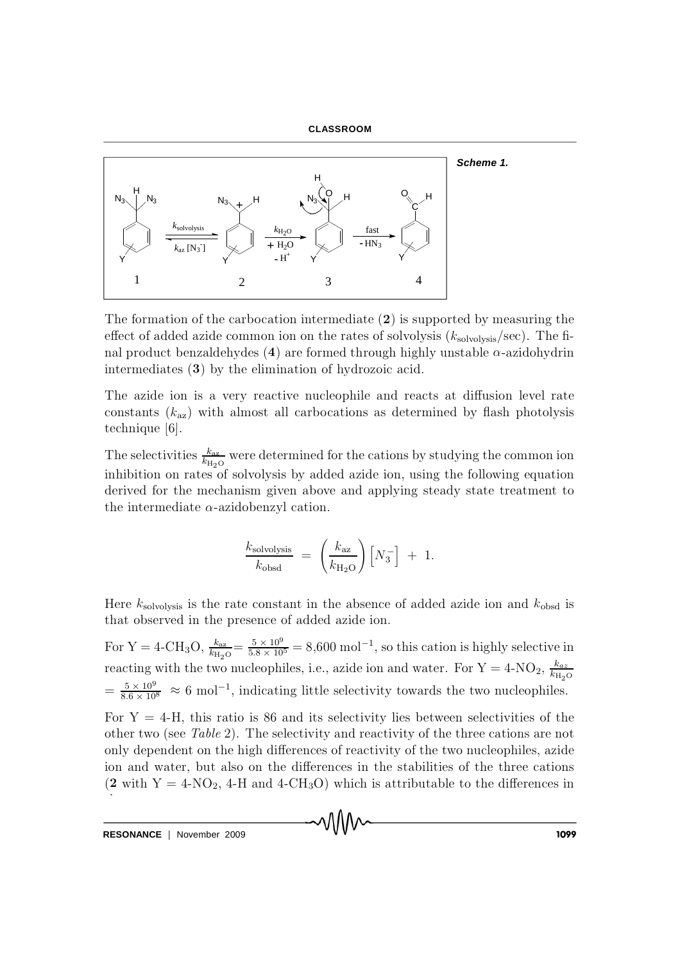



The formation of the carbocation intermediate  $(2)$  is supported by measuring the effect of added azide common ion on the rates of solvolysis  $(k_{\text{solvolysis}}/\text{sec})$ . The final product benzaldehydes (4) are formed through highly unstable  $\alpha$ -azidohydrin intermediates  $(3)$  by the elimination of hydrozoic acid.

The azide ion is a very reactive nucleophile and reacts at diffusion level rate constants  $(k_{az})$  with almost all carbocations as determined by flash photolysis technique [6].

The selectivities  $\frac{k_{\text{az}}}{k_{\text{H}_2\text{O}}}$  were determined for the cations by studying the common ion inhibition on rates of solvolysis by added azide ion, using the following equation derived for the mechanism given above and applying steady state treatment to the intermediate  $\alpha$ -azidobenzyl cation.

$$
\frac{k_{\text{solvolysis}}}{k_{\text{obsd}}} = \left(\frac{k_{\text{az}}}{k_{\text{H}_2\text{O}}}\right) \left[N_3^-\right] + 1.
$$

Here  $k_{\text{solvolysis}}$  is the rate constant in the absence of added azide ion and  $k_{\text{obsd}}$  is that observed in the presence of added azide ion.

For Y = 4-CH<sub>3</sub>O,  $\frac{k_{az}}{k_{H_2O}} = \frac{5 \times 10^9}{5.8 \times 10^5} = 8,600 \text{ mol}^{-1}$ , so this cation is highly selective in reacting with the two nucleophiles, i.e., azide ion and water. For Y = 4-NO<sub>2</sub>,  $\frac{k_{az}}{k_{H_2O}}$  $=\frac{5\times10^9}{8.6\times10^8}$   $\approx 6$  mol<sup>-1</sup>, indicating little selectivity towards the two nucleophiles.

For  $Y = 4-H$ , this ratio is 86 and its selectivity lies between selectivities of the other two (see Table 2). The selectivity and reactivity of the three cations are not only dependent on the high differences of reactivity of the two nucleophiles, azide ion and water, but also on the differences in the stabilities of the three cations  $(2 \text{ with } Y = 4-\text{NO}_2, 4-\text{H} \text{ and } 4-\text{CH}_3\text{O})$  which is attributable to the differences in

MMW

RESONANCE | November 2009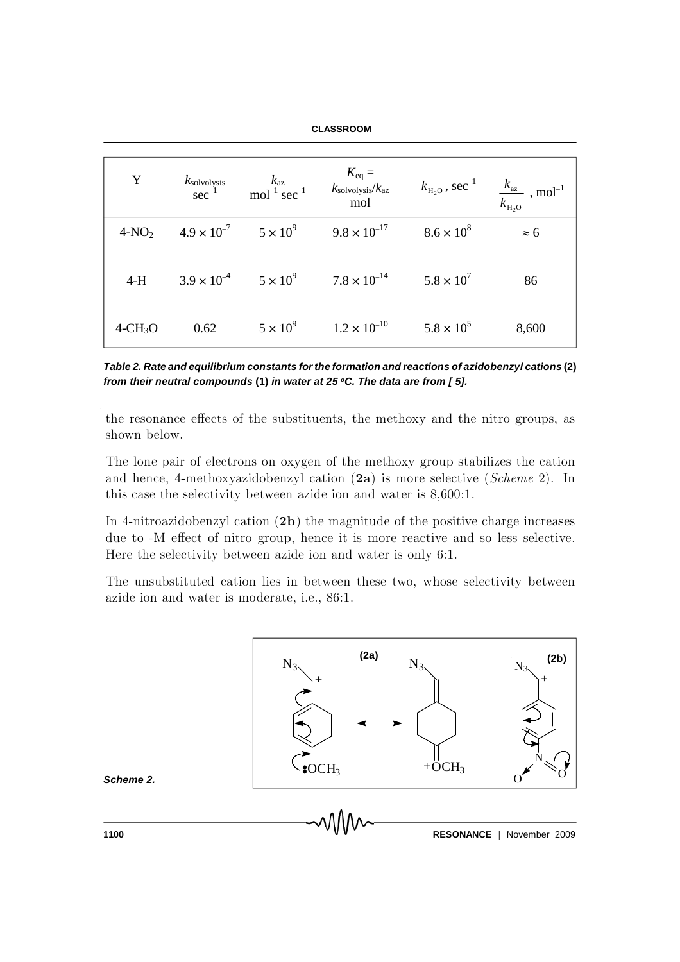## **CLASSROOM**

| Y                       |                                            |                                                                                                  | $\begin{array}{ccc} k_{\text{solvolysis}} & k_{\text{az}} & K_{\text{eq}} = & k_{\text{solvolysis}}/k_{\text{az}} & k_{\text{H}_2\text{O}}\,,\,\text{sec}^{-1} & \frac{k_{\text{az}}}{k_{\text{H}_2\text{O}}} \,,\,\text{mol}^{-1} \end{array}$ |             |
|-------------------------|--------------------------------------------|--------------------------------------------------------------------------------------------------|-------------------------------------------------------------------------------------------------------------------------------------------------------------------------------------------------------------------------------------------------|-------------|
|                         |                                            | $4-\text{NO}_2$ $4.9 \times 10^{-7}$ $5 \times 10^{9}$ $9.8 \times 10^{-17}$ $8.6 \times 10^{8}$ |                                                                                                                                                                                                                                                 | $\approx 6$ |
|                         |                                            | 4-H $3.9 \times 10^{-4}$ $5 \times 10^{9}$ $7.8 \times 10^{-14}$ $5.8 \times 10^{7}$             |                                                                                                                                                                                                                                                 | 86          |
| $4\text{-CH}_3\text{O}$ | 0.62 $5 \times 10^9$ $1.2 \times 10^{-10}$ |                                                                                                  | $5.8 \times 10^{5}$                                                                                                                                                                                                                             | 8,600       |

*Table 2. Rate and equilibrium constants for the formation and reactions of azidobenzyl cations* **(2)** *from their neutral compounds* **(1)** *in water at 25 <sup>o</sup>C. The data are from [ 5].*

the resonance effects of the substituents, the methoxy and the nitro groups, as shown below.

The lone pair of electrons on oxygen of the methoxy group stabilizes the cation and hence, 4-methoxyazidobenzyl cation  $(2a)$  is more selective (Scheme 2). In this case the selectivity between azide ion and water is  $8,600:1$ .

In 4-nitroazidobenzyl cation  $(2b)$  the magnitude of the positive charge increases due to -M effect of nitro group, hence it is more reactive and so less selective. Here the selectivity between azide ion and water is only 6:1.

The unsubstituted cation lies in between these two, whose selectivity between azide ion and water is moderate, i.e., 86:1.